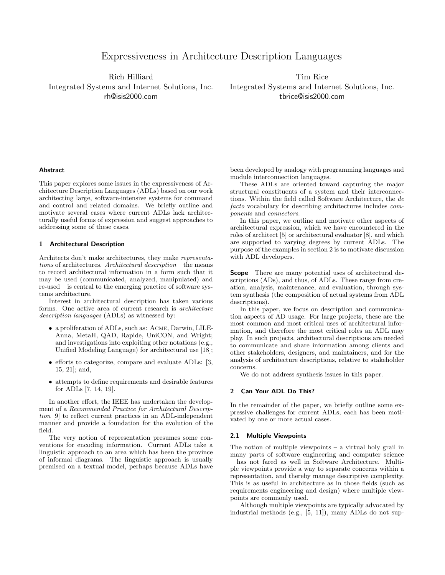# Expressiveness in Architecture Description Languages

Rich Hilliard Integrated Systems and Internet Solutions, Inc. rh@isis2000.com

Tim Rice Integrated Systems and Internet Solutions, Inc. tbrice@isis2000.com

#### **Abstract**

This paper explores some issues in the expressiveness of Architecture Description Languages (ADLs) based on our work architecting large, software-intensive systems for command and control and related domains. We briefly outline and motivate several cases where current ADLs lack architecturally useful forms of expression and suggest approaches to addressing some of these cases.

## 1 Architectural Description

Architects don't make architectures, they make *representations* of architectures. *Architectural description* – the means to record architectural information in a form such that it may be used (communicated, analyzed, manipulated) and re-used – is central to the emerging practice of software systems architecture.

Interest in architectural description has taken various forms. One active area of current research is *architecture description languages* (ADLs) as witnessed by:

- a proliferation of ADLs, such as: Acme, Darwin, LILE-Anna, MetaH, QAD, Rapide, UniCON, and Wright; and investigations into exploiting other notations (e.g., Unified Modeling Language) for architectural use [18];
- efforts to categorize, compare and evaluate ADLs: [3, 15, 21]; and,
- attempts to define requirements and desirable features for ADLs [7, 14, 19].

In another effort, the IEEE has undertaken the development of a *Recommended Practice for Architectural Description* [9] to reflect current practices in an ADL-independent manner and provide a foundation for the evolution of the field.

The very notion of representation presumes some conventions for encoding information. Current ADLs take a linguistic approach to an area which has been the province of informal diagrams. The linguistic approach is usually premised on a textual model, perhaps because ADLs have been developed by analogy with programming languages and module interconnection languages.

These ADLs are oriented toward capturing the major structural constituents of a system and their interconnections. Within the field called Software Architecture, the *de facto* vocabulary for describing architectures includes *components* and *connectors*.

In this paper, we outline and motivate other aspects of architectural expression, which we have encountered in the roles of architect [5] or architectural evaluator [8], and which are supported to varying degrees by current ADLs. The purpose of the examples in section 2 is to motivate discussion with ADL developers.

**Scope** There are many potential uses of architectural descriptions (ADs), and thus, of ADLs. These range from creation, analysis, maintenance, and evaluation, through system synthesis (the composition of actual systems from ADL descriptions).

In this paper, we focus on description and communication aspects of AD usage. For large projects, these are the most common and most critical uses of architectural information, and therefore the most critical roles an ADL may play. In such projects, architectural descriptions are needed to communicate and share information among clients and other stakeholders, designers, and maintainers, and for the analysis of architecture descriptions, relative to stakeholder concerns.

We do not address synthesis issues in this paper.

## 2 Can Your ADL Do This?

In the remainder of the paper, we briefly outline some expressive challenges for current ADLs; each has been motivated by one or more actual cases.

## 2.1 Multiple Viewpoints

The notion of multiple viewpoints – a virtual holy grail in many parts of software engineering and computer science – has not fared as well in Software Architecture. Multiple viewpoints provide a way to separate concerns within a representation, and thereby manage descriptive complexity. This is as useful in architecture as in those fields (such as requirements engineering and design) where multiple viewpoints are commonly used.

Although multiple viewpoints are typically advocated by industrial methods (e.g., [5, 11]), many ADLs do not sup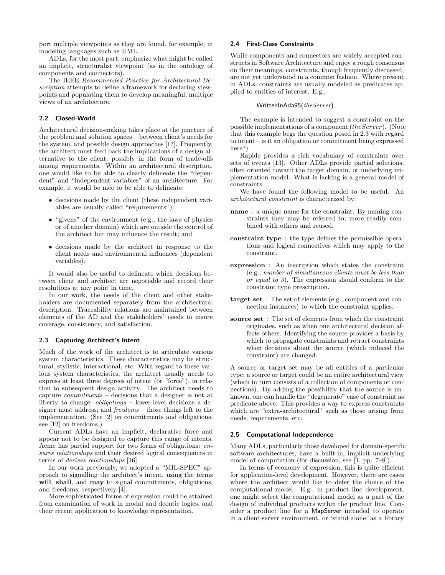port multiple viewpoints as they are found, for example, in modeling languages such as UML.

ADLs, for the most part, emphasize what might be called an implicit, structuralist viewpoint (as in the ontology of components and connectors).

The IEEE *Recommended Practice for Architectural Description* attempts to define a framework for declaring viewpoints and populating them to develop meaningful, multiple views of an architecture.

## 2.2 Closed-World

Architectural decision-making takes place at the juncture of the problem and solution spaces – between client's needs for the system, and possible design approaches [17]. Frequently, the architect must feed back the implications of a design alternative to the client, possibly in the form of trade-offs among requirements. Within an architectural description, one would like to be able to clearly delineate the "dependent" and "independent variables" of an architecture. For example, it would be nice to be able to delineate:

- decisions made by the client (these independent variables are usually called "requirements");
- "givens" of the environment (e.g., the laws of physics or of another domain) which are outside the control of the architect but may influence the result; and
- decisions made by the architect in response to the client needs and environmental influences (dependent variables).

It would also be useful to delineate which decisions between client and architect are negotiable and record their resolutions at any point in time.

In our work, the needs of the client and other stakeholders are documented separately from the architectural description. Traceability relations are maintained between elements of the AD and the stakeholders' needs to insure coverage, consistency, and satisfaction.

## 2.3 Capturing Architect's Intent

Much of the work of the architect is to articulate various system characteristics. These characteristics may be structural, stylistic, interactional, etc. With regard to these various system characteristics, the architect usually needs to express at least three degrees of intent (or "force"), in relation to subsequent design activity. The architect needs to capture *commitments* – decisions that a designer is not at liberty to change; *obligations* – lower-level decisions a designer must address; and *freedoms* – those things left to the implementation. (See [2] on commitments and obligations, see [12] on freedoms.)

Current ADLs have an implicit, declarative force and appear not to be designed to capture this range of intents. Acme has partial support for two forms of obligations: *ensures relationships* and their desired logical consequences in terms of *derives relationships* [16].

In our work previously, we adopted a "MIL-SPEC" approach to signalling the architect's intent, using the terms will, shall, and may to signal commitments, obligations, and freedoms, respectively [4].

More sophisticated forms of expression could be attained from examination of work in modal and deontic logics, and their recent application to knowledge representation.

## 2.4 First-Class Constraints

While components and connectors are widely accepted constructs in Software Architecture and enjoy a rough consensus on their meanings, constraints, though frequently discussed, are not yet understood in a common fashion. Where present in ADLs, constraints are usually modeled as predicates applied to entities of interest. E.g.,

## WrittenInAda95(*theServer*)

The example is intended to suggest a constraint on the possible implementations of a component (theServer). (Note that this example begs the question posed in 2.3 with regard to intent – is it an obligation or commitment being expressed here?)

Rapide provides a rich vocabulary of constraints over sets of events [13]. Other ADLs provide partial solutions, often oriented toward the target domain, or underlying implementation model. What is lacking is a general model of constraints.

We have found the following model to be useful. An *architectural constraint* is characterized by:

- name : a unique name for the constraint. By naming constraints they may be referred to, more readily combined with others and reused.
- constraint type : the type defines the permissible operations and logical connectives which may apply to the constraint.
- expression : An inscription which states the constraint (e.g., *number of simultaneous clients must be less than or equal to 3*). The expression should conform to the constraint type prescription.
- target set : The set of elements (e.g., component and connection instances) to which the constraint applies.
- source set : The set of elements from which the constraint originates, such as when one architectural decision affects others. Identifying the source provides a basis by which to propagate constraints and retract constraints when decisions about the source (which induced the constraint) are changed.

A source or target set may be all entities of a particular type; a source or target could be an entire architectural view (which in turn consists of a collection of components or connections). By adding the possibility that the source is unknown, one can handle the "degenerate" case of constraint as predicate above. This provides a way to express constraints which are "extra-architectural" such as those arising from needs, requirements, etc.

#### 2.5 Computational Independence

Many ADLs, particularly those developed for domain-specific software architectures, have a built-in, implicit underlying model of computation (for discussion, see [1, pp. 7–8]).

In terms of economy of expression, this is quite efficient for application-level development. However, there are cases where the architect would like to defer the choice of the computational model. E.g., in product line development, one might select the computational model as a part of the design of individual products within the product line. Consider a product line for a MapServer intended to operate in a client-server environment, or 'stand-alone' as a library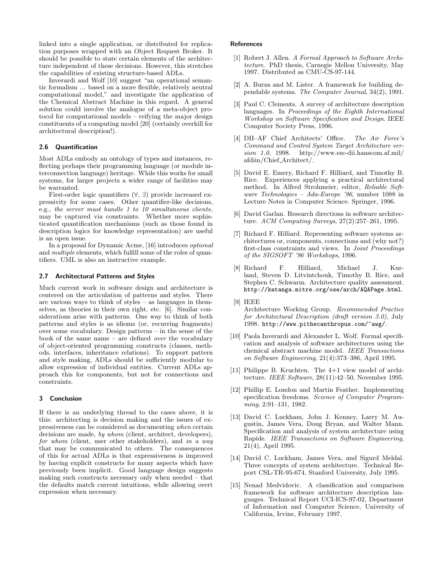linked into a single application, or distributed for replication purposes wrapped with an Object Request Broker. It should be possible to state certain elements of the architecture independent of these decisions. However, this stretches the capabilities of existing structure-based ADLs.

Inverardi and Wolf [10] suggest "an operational semantic formalism ... based on a more flexible, relatively neutral computational model," and investigate the application of the Chemical Abstract Machine in this regard. A general solution could involve the analogue of a meta-object protocol for computational models – reifying the major design constituents of a computing model [20] (certainly overkill for architectural description!).

## 2.6 Quantification

Most ADLs embody an ontology of types and instances, reflecting perhaps their programming language (or module interconnection language) heritage. While this works for small systems, for larger projects a wider range of facilities may be warranted.

First-order logic quantifiers (∀, ∃) provide increased expressivity for some cases. Other quantifier-like decisions, e.g., *the server must handle 1 to 10 simultaneous clients*, may be captured via constraints. Whether more sophisticated quantification mechanisms (such as those found in description logics for knowledge representation) are useful is an open issue.

In a proposal for Dynamic Acme, [16] introduces *optional* and *multiple* elements, which fulfill some of the roles of quantifiers. UML is also an instructive example.

# 2.7 Architectural Patterns and Styles

Much current work in software design and architecture is centered on the articulation of patterns and styles. There are various ways to think of styles – as languages in themselves, as theories in their own right, etc. [6]. Similar considerations arise with patterns. One way to think of both patterns and styles is as idioms (or, recurring fragments) over some vocabulary. Design patterns – in the sense of the book of the same name – are defined *over* the vocabulary of object-oriented programming constructs (classes, methods, interfaces, inheritance relations). To support pattern and style making, ADLs should be sufficiently modular to allow expression of individual entities. Current ADLs approach this for components, but not for connections and constraints.

## 3 Conclusion

If there is an underlying thread to the cases above, it is this: architecting is decision making and the issues of expressiveness can be considered as documenting *when* certain decisions are made, *by whom* (client, architect, developers), *for whom* (client, user other stakeholders), and *in a way* that may be communicated to others. The consequences of this for actual ADLs is that expressiveness is improved by having explicit constructs for many aspects which have previously been implicit. Good language design suggests making such constructs necessary only when needed – that the defaults match current intuitions, while allowing overt expression when necessary.

## **References**

- [1] Robert J. Allen. *A Formal Approach to Software Architecture*. PhD thesis, Carnegie Mellon University, May 1997. Distributed as CMU-CS-97-144.
- [2] A. Burns and M. Lister. A framework for building dependable systems. *The Computer Journal*, 34(2), 1991.
- [3] Paul C. Clements. A survey of architecture description languages. In *Proceedings of the Eighth International Workshop on Software Specification and Design*. IEEE Computer Society Press, 1996.
- [4] DII–AF Chief Architects' Office. *The Air Force's Command and Control System Target Architecture version 1.0*, 1998. http://www.esc-dii.hanscom.af.mil/ afdiin/Chief Architect/.
- [5] David E. Emery, Richard F. Hilliard, and Timothy B. Rice. Experiences applying a practical architectural method. In Alfred Strohmeier, editor, *Reliable Software Technologies – Ada-Europe '96*, number 1088 in Lecture Notes in Computer Science. Springer, 1996.
- [6] David Garlan. Research directions in software architecture. *ACM Computing Surveys*, 27(2):257–261, 1995.
- [7] Richard F. Hilliard. Representing software systems architectures or, components, connections and (why not?) first-class constraints and views. In *Joint Proceedings of the SIGSOFT '96 Workshops*, 1996.
- [8] Richard F. Hilliard, Michael J. Kurland, Steven D. Litvintchouk, Timothy B. Rice, and Stephen C. Schwarm. Architecture quality assessment. http://katanga.mitre.org/ose/arch/AQAPage.html.
- [9] IEEE Architecture Working Group. *Recommended Practice for Architectural Description (draft version 3.0)*, July 1998. http://www.pithecanthropus.com/~awg/.
- [10] Paola Inverardi and Alexander L. Wolf. Formal specification and analysis of software architectures using the chemical abstract machine model. *IEEE Transactions on Software Engineering*, 21(4):373–386, April 1995.
- [11] Philippe B. Kruchten. The 4+1 view model of architecture. *IEEE Software*, 28(11):42–50, November 1995.
- [12] Phillip E. London and Martin Feather. Implementing specification freedoms. *Science of Computer Programming*, 2:91–131, 1982.
- [13] David C. Luckham, John J. Kenney, Larry M. Augustin, James Vera, Doug Bryan, and Walter Mann. Specification and analysis of system architecture using Rapide. *IEEE Transactions on Software Engineering*, 21(4), April 1995.
- [14] David C. Luckham, James Vera, and Sigurd Meldal. Three concepts of system architecture. Technical Report CSL-TR-95-674, Stanford University, July 1995.
- [15] Nenad Medvidovic. A classification and comparison framework for software architecture description languages. Technical Report UCI-ICS-97-02, Department of Information and Computer Science, University of California, Irvine, February 1997.